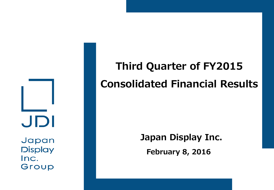JDI

Japan **Display** Inc. Group

# **Third Quarter of FY2015 Consolidated Financial Results**

**February 8, 2016 Japan Display Inc.**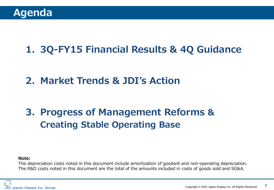# **1. 3Q-FY15 Financial Results & 4Q Guidance**

# **2. Market Trends & JDI's Action**

# **3. Progress of Management Reforms & Creating Stable Operating Base**

#### **Note:**

The depreciation costs noted in this document include amortization of goodwill and non-operating depreciation. The R&D costs noted in this document are the total of the amounts included in costs of goods sold and SG&A.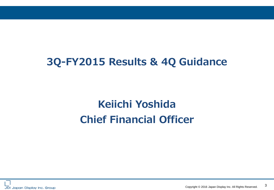# **3Q-FY2015 Results & 4Q Guidance**

# **Keiichi Yoshida Chief Financial Officer**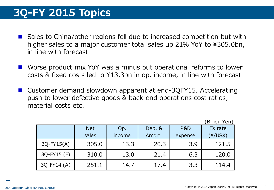# **3Q-FY 2015 Topics**

- Sales to China/other regions fell due to increased competition but with higher sales to a major customer total sales up 21% YoY to ¥305.0bn, in line with forecast.
- Worse product mix YoY was a minus but operational reforms to lower costs & fixed costs led to ¥13.3bn in op. income, in line with forecast.
- Customer demand slowdown apparent at end-3QFY15. Accelerating push to lower defective goods & back-end operations cost ratios, material costs etc.

|              |            |        |          |         | (Billion Yen) |
|--------------|------------|--------|----------|---------|---------------|
|              | <b>Net</b> | Op.    | Dep. $&$ | R&D     | FX rate       |
|              | sales      | income | Amort.   | expense | (¥/US\$)      |
| $3Q-FY15(A)$ | 305.0      | 13.3   | 20.3     | 3.9     | 121.5         |
| 3Q-FY15 (F)  | 310.0      | 13.0   | 21.4     | 6.3     | 120.0         |
| $3Q-FY14(A)$ | 251.1      | 14.7   | 17.4     | 3.3     | 114.4         |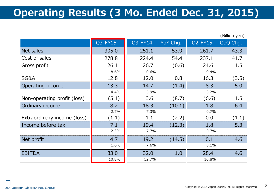# **Operating Results (3 Mo. Ended Dec. 31, 2015)**

|                             |            |         |          |         | (Billion yen) |
|-----------------------------|------------|---------|----------|---------|---------------|
|                             | $Q3$ -FY15 | Q3-FY14 | YoY Chg. | Q2-FY15 | QoQ Chg.      |
| Net sales                   | 305.0      | 251.1   | 53.9     | 261.7   | 43.3          |
| Cost of sales               | 278.8      | 224.4   | 54.4     | 237.1   | 41.7          |
| Gross profit                | 26.1       | 26.7    | (0.6)    | 24.6    | 1.5           |
|                             | 8.6%       | 10.6%   |          | 9.4%    |               |
| SG&A                        | 12.8       | 12.0    | 0.8      | 16.3    | (3.5)         |
| Operating income            | 13.3       | 14.7    | (1.4)    | 8.3     | 5.0           |
|                             | 4.4%       | 5.9%    |          | 3.2%    |               |
| Non-operating profit (loss) | (5.1)      | 3.6     | (8.7)    | (6.6)   | 1.5           |
| Ordinary income             | 8.2        | 18.3    | (10.1)   | 1.8     | 6.4           |
|                             | 2.7%       | 7.3%    |          | 0.7%    |               |
| Extraordinary income (loss) | (1.1)      | 1.1     | (2.2)    | 0.0     | (1.1)         |
| Income before tax           | 7.1        | 19.4    | (12.3)   | 1.8     | 5.3           |
|                             | 2.3%       | 7.7%    |          | 0.7%    |               |
| Net profit                  | 4.7        | 19.2    | (14.5)   | 0.1     | 4.6           |
|                             | 1.6%       | 7.6%    |          | 0.1%    |               |
| <b>EBITDA</b>               | 33.0       | 32.0    | 1.0      | 28.4    | 4.6           |
|                             | 10.8%      | 12.7%   |          | 10.8%   |               |

JDI Japan Display Inc. Group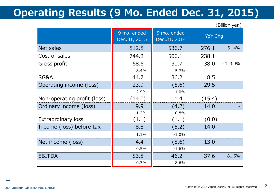# **Operating Results (9 Mo. Ended Dec. 31, 2015)**

(Billion yen)

|                             | 9 mo. ended<br>Dec.31, 2015 | 9 mo. ended<br>Dec.31, 2014 | YoY Chg. |           |
|-----------------------------|-----------------------------|-----------------------------|----------|-----------|
| Net sales                   | 812.8                       | 536.7                       | 276.1    | $+51.4%$  |
| Cost of sales               | 744.2                       | 506.1                       | 238.1    |           |
| Gross profit                | 68.6                        | 30.7                        | 38.0     | $+123.9%$ |
|                             | 8.4%                        | 5.7%                        |          |           |
| SG&A                        | 44.7                        | 36.2                        | 8.5      |           |
| Operating income (loss)     | 23.9                        | (5.6)                       | 29.5     |           |
|                             | 2.9%                        | $-1.0%$                     |          |           |
| Non-operating profit (loss) | (14.0)                      | 1.4                         | (15.4)   |           |
| Ordinary income (loss)      | 9.9                         | (4.2)                       | 14.0     |           |
|                             | 1.2%                        | $-0.8%$                     |          |           |
| <b>Extraordinary loss</b>   | (1.1)                       | (1.1)                       | (0.0)    |           |
| Income (loss) before tax    | 8.8                         | (5.2)                       | 14.0     |           |
|                             | 1.1%                        | $-1.0%$                     |          |           |
| Net income (loss)           | 4.4                         | 13.0<br>(8.6)               |          |           |
|                             | 0.5%                        | $-1.6%$                     |          |           |
| <b>EBITDA</b>               | 83.8                        | 46.2                        | 37.6     | $+81.5%$  |
|                             | 10.3%                       | 8.6%                        |          |           |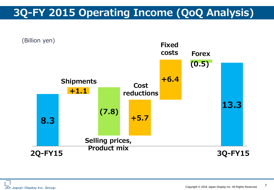# **3Q-FY 2015 Operating Income (QoQ Analysis)**

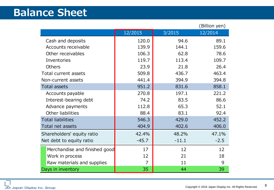# **Balance Sheet**

|                               |         |         | (Billion yen) |
|-------------------------------|---------|---------|---------------|
|                               | 12/2015 | 3/2015  | 12/2014       |
| Cash and deposits             | 120.0   | 94.6    | 89.1          |
| Accounts receivable           | 139.9   | 144.1   | 159.6         |
| Other receivables             | 106.3   | 62.8    | 78.6          |
| Inventories                   | 119.7   | 113.4   | 109.7         |
| <b>Others</b>                 | 23.9    | 21.8    | 26.4          |
| Total current assets          | 509.8   | 436.7   | 463.4         |
| Non-current assets            | 441.4   | 394.9   | 394.8         |
| <b>Total assets</b>           | 951.2   | 831.6   | 858.1         |
| Accounts payable              | 270.8   | 197.1   | 221.2         |
| Interest-bearing debt         | 74.2    | 83.5    | 86.6          |
| Advance payments              | 112.8   | 65.3    | 52.1          |
| Other liabilities             | 88.4    | 83.1    | 92.4          |
| <b>Total liabilities</b>      | 546.3   | 429.0   | 452.2         |
| Total net assets              | 404.9   | 402.6   | 406.0         |
| Shareholders' equity ratio    | 42.4%   | 48.2%   | 47.1%         |
| Net debt to equity ratio      | $-45.7$ | $-11.1$ | $-2.5$        |
| Merchandise and finished good | 17      | 12      | 12            |
| Work in process               | 12      | 21      | 18            |
| Raw materials and supplies    | 7       | 11      | 9             |
| Days in inventory             | 35      | 44      | 39            |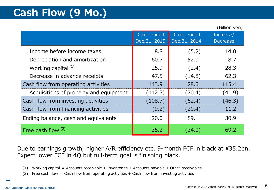# **Cash Flow (9 Mo.)**

|                                        |              |              | (Billion yen)   |
|----------------------------------------|--------------|--------------|-----------------|
|                                        | 9 mo. ended  | 9 mo. ended  | Increase/       |
|                                        | Dec.31, 2015 | Dec.31, 2014 | <b>Decrease</b> |
| Income before income taxes             | 8.8          | (5.2)        | 14.0            |
| Depreciation and amortization          | 60.7         | 52.0         | 8.7             |
| Working capital <sup>(1)</sup>         | 25.9         | (2.4)        | 28.3            |
| Decrease in advance receipts           | 47.5         | (14.8)       | 62.3            |
| Cash flow from operating activities    | 143.9        | 28.5         | 115.4           |
| Acquisitions of property and equipment | (112.3)      | (70.4)       | (41.9)          |
| Cash flow from investing activities    | (108.7)      | (62.4)       | (46.3)          |
| Cash flow from financing activities    | (9.2)        | (20.4)       | 11.2            |
| Ending balance, cash and equivalents   | 120.0        | 89.1         | 30.9            |
| Free cash flow <sup>(2)</sup>          | 35.2         | (34.0        | 69.2            |

Due to earnings growth, higher A/R efficiency etc. 9-month FCF in black at ¥35.2bn. Expect lower FCF in 4Q but full-term goal is finishing black.

- (1) Working capital = Accounts receivable + Inventories + Accounts payable + Other receivables
- (2) Free cash flow = Cash flow from operating activities + Cash flow from investing activities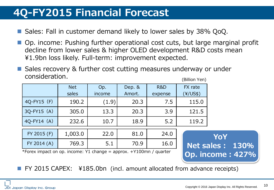# **4Q-FY2015 Financial Forecast**

- Sales: Fall in customer demand likely to lower sales by 38% QoQ.
- Op. income: Pushing further operational cost cuts, but large marginal profit decline from lower sales & higher OLED development R&D costs mean ¥1.9bn loss likely. Full-term: improvement expected.
- Sales recovery & further cost cutting measures underway or under consideration. (Billion Yen)

|                                                                    | <b>Net</b> | Op.           | Dep. & | R&D     | FX rate                 |                 |
|--------------------------------------------------------------------|------------|---------------|--------|---------|-------------------------|-----------------|
|                                                                    | sales      | <i>income</i> | Amort. | expense | $\frac{4}{15}$          |                 |
| 4Q-FY15 (F)                                                        | 190.2      | (1.9)         | 20.3   | 7.5     | 115.0                   |                 |
| $3Q-FY15(A)$                                                       | 305.0      | 13.3          | 20.3   | 3.9     | 121.5                   |                 |
| $4Q-FY14(A)$                                                       | 232.6      | 10.7          | 18.9   | 5.2     | 119.2                   |                 |
| FY 2015 (F)                                                        | 1,003.0    | 22.0          | 81.0   | 24.0    |                         | <b>YoY</b>      |
| FY 2014 (A)                                                        | 769.3      | 5.1           | 70.9   | 16.0    |                         | Net sales: 130% |
| *Forex impact on op. income: Y1 change = approx. +Y100mn / quarter |            |               |        |         | <b>Op. income: 427%</b> |                 |

FY 2015 CAPEX: ¥185.0bn (incl. amount allocated from advance receipts)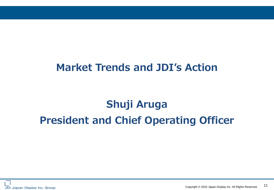# **Market Trends and JDI's Action**

# **Shuji Aruga President and Chief Operating Officer**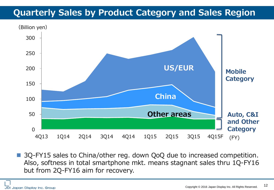### **Quarterly Sales by Product Category and Sales Region**



■ 3Q-FY15 sales to China/other reg. down QoQ due to increased competition. Also, softness in total smartphone mkt. means stagnant sales thru 1Q-FY16 but from 2Q-FY16 aim for recovery.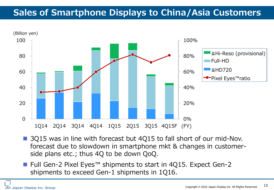### **Sales of Smartphone Displays to China/Asia Customers**



- 3Q15 was in line with forecast but 4Q15 to fall short of our mid-Nov. forecast due to slowdown in smartphone mkt & changes in customerside plans etc.; thus 4Q to be down QoQ.
- Full Gen-2 Pixel Eyes™ shipments to start in 4Q15. Expect Gen-2 shipments to exceed Gen-1 shipments in 1Q16.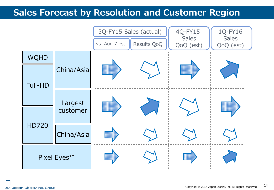#### **Sales Forecast by Resolution and Customer Region**

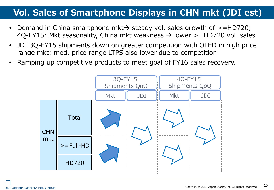### **Vol. Sales of Smartphone Displays in CHN mkt (JDI est)**

- Demand in China smartphone mkt $\rightarrow$  steady vol. sales growth of  $>$ =HD720; 4Q-FY15: Mkt seasonality, China mkt weakness  $\rightarrow$  lower >=HD720 vol. sales.
- JDI 3Q-FY15 shipments down on greater competition with OLED in high price range mkt; med. price range LTPS also lower due to competition.
- Ramping up competitive products to meet goal of FY16 sales recovery.

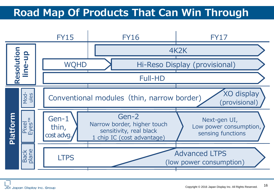# **Road Map Of Products That Can Win Through**

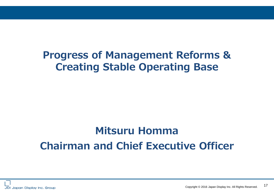# **Progress of Management Reforms & Creating Stable Operating Base**

# **Mitsuru Homma Chairman and Chief Executive Officer**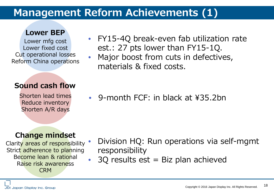## **Management Reform Achievements (1)**

#### **Lower BEP**

Lower mfg cost Lower fixed cost Cut operational losses Reform China operations

#### **Sound cash flow**

Shorten lead times Reduce inventory Shorten A/R days

#### • FY15-4Q break-even fab utilization rate est.: 27 pts lower than FY15-1Q.

• Major boost from cuts in defectives, materials & fixed costs.

• 9-month FCF: in black at ¥35.2bn

#### **Change mindset**

Clarity areas of responsibility Strict adherence to planning Become lean & rational Raise risk awareness CRM

- Division HQ: Run operations via self-mgmt responsibility
- $\bullet$  30 results est = Biz plan achieved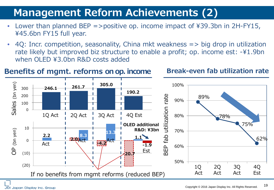# **Management Reform Achievements (2)**

- Lower than planned BEP =>positive op. income impact of  $439.3$ bn in 2H-FY15, ¥45.6bn FY15 full year.
- 4Q: Incr. competition, seasonality, China mkt weakness => big drop in utilization rate likely but improved biz structure to enable a profit; op. income est: -¥1.9bn when OLED ¥3.0bn R&D costs added

#### **Benefits of mgmt. reforms on op. income Break-even fab utilization rate**

#### (bn yen) Sales (bn yen) **305.0** 100% **246.1 261.7**  $300$ **190.2** BEP fab utilization rate rate  $\overline{200}$ 89% 90% Sales 100 utilization  $\Omega$ 1Q Act | 2Q Act | 3Q Act | 4Q Est 80% 78% 75% **OLED additional**  100 10 (bn yen) **R&D: ¥3bn** OP (bn yen) 70% **13.3 2.2 8.3** db **1.1** 62% **2.0** 0 **Act | F4.2**<br>
Act | F4.2 Act **-1.9**  $\Delta$ 60%  $\frac{a}{\alpha}$ ΒEΙ Est **-20.7**  $(10)$ 50%  $(20)$ 1Q 2Q 3Q 4Q 1Q 2Q 3Q 4Q Act Act Act Est If no benefits from mgmt reforms (reduced BEP)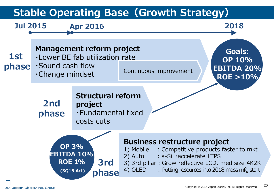